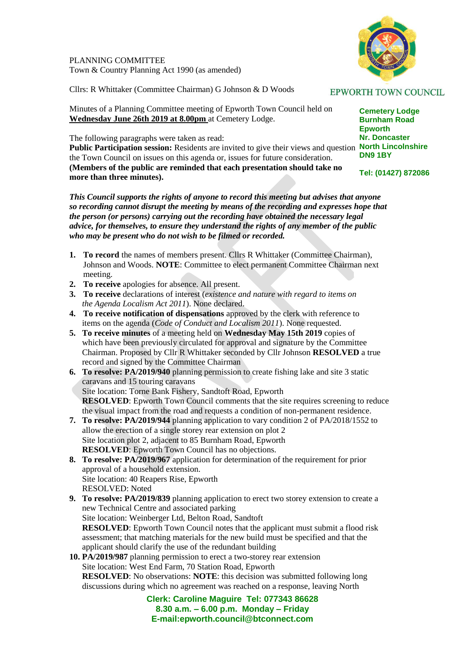PLANNING COMMITTEE Town & Country Planning Act 1990 (as amended)

Cllrs: R Whittaker (Committee Chairman) G Johnson & D Woods

Minutes of a Planning Committee meeting of Epworth Town Council held on **Wednesday June 26th 2019 at 8.00pm** at Cemetery Lodge.

The following paragraphs were taken as read:

Public Participation session: Residents are invited to give their views and question North Lincolnshire the Town Council on issues on this agenda or, issues for future consideration. **(Members of the public are reminded that each presentation should take no more than three minutes).**

*This Council supports the rights of anyone to record this meeting but advises that anyone so recording cannot disrupt the meeting by means of the recording and expresses hope that the person (or persons) carrying out the recording have obtained the necessary legal advice, for themselves, to ensure they understand the rights of any member of the public who may be present who do not wish to be filmed or recorded.*

- **1. To record** the names of members present. Cllrs R Whittaker (Committee Chairman), Johnson and Woods. **NOTE**: Committee to elect permanent Committee Chairman next meeting.
- **2. To receive** apologies for absence. All present.
- **3. To receive** declarations of interest (*existence and nature with regard to items on the Agenda Localism Act 2011*). None declared.
- **4. To receive notification of dispensations** approved by the clerk with reference to items on the agenda (*Code of Conduct and Localism 2011*). None requested.
- **5. To receive minutes** of a meeting held on **Wednesday May 15th 2019** copies of which have been previously circulated for approval and signature by the Committee Chairman. Proposed by Cllr R Whittaker seconded by Cllr Johnson **RESOLVED** a true record and signed by the Committee Chairman
- **6. To resolve: PA/2019/940** planning permission to create fishing lake and site 3 static caravans and 15 touring caravans Site location: Torne Bank Fishery, Sandtoft Road, Epworth **RESOLVED:** Epworth Town Council comments that the site requires screening to reduce the visual impact from the road and requests a condition of non-permanent residence.
- **7. To resolve: PA/2019/944** planning application to vary condition 2 of PA/2018/1552 to allow the erection of a single storey rear extension on plot 2 Site location plot 2, adjacent to 85 Burnham Road, Epworth **RESOLVED**: Epworth Town Council has no objections.
- **8. To resolve: PA/2019/967** application for determination of the requirement for prior approval of a household extension. Site location: 40 Reapers Rise, Epworth RESOLVED: Noted
- **9. To resolve: PA/2019/839** planning application to erect two storey extension to create a new Technical Centre and associated parking Site location: Weinberger Ltd, Belton Road, Sandtoft **RESOLVED:** Epworth Town Council notes that the applicant must submit a flood risk assessment; that matching materials for the new build must be specified and that the applicant should clarify the use of the redundant building

## **10. PA/2019/987** planning permission to erect a two-storey rear extension Site location: West End Farm, 70 Station Road, Epworth **RESOLVED**: No observations: **NOTE**: this decision was submitted following long discussions during which no agreement was reached on a response, leaving North

**Clerk: Caroline Maguire Tel: 077343 86628 8.30 a.m. – 6.00 p.m. Monday – Friday E-mail:epworth.council@btconnect.com**



**Cemetery Lodge Burnham Road Epworth Nr. Doncaster DN9 1BY**

**Tel: (01427) 872086**